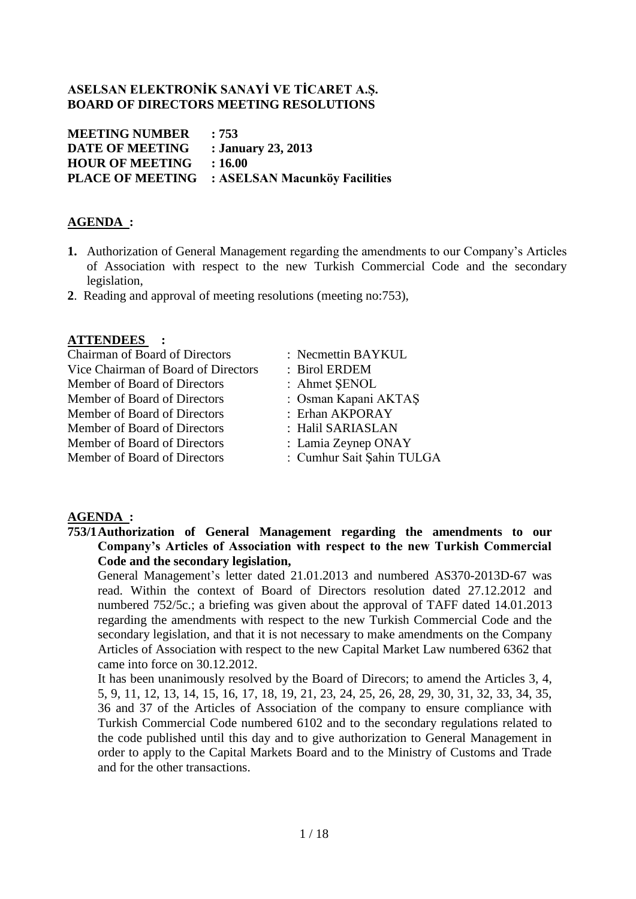## **ASELSAN ELEKTRONİK SANAYİ VE TİCARET A.Ş. BOARD OF DIRECTORS MEETING RESOLUTIONS**

| <b>MEETING NUMBER</b>  | :753                                                  |
|------------------------|-------------------------------------------------------|
| <b>DATE OF MEETING</b> | : January 23, 2013                                    |
| <b>HOUR OF MEETING</b> | :16.00                                                |
|                        | <b>PLACE OF MEETING : ASELSAN Macunköy Facilities</b> |

## **AGENDA :**

- **1.** Authorization of General Management regarding the amendments to our Company's Articles of Association with respect to the new Turkish Commercial Code and the secondary legislation,
- **2**. Reading and approval of meeting resolutions (meeting no:753),

## **ATTENDEES :**

| <b>Chairman of Board of Directors</b> | : Necmettin BAYKUL        |
|---------------------------------------|---------------------------|
| Vice Chairman of Board of Directors   | : Birol ERDEM             |
| Member of Board of Directors          | : Ahmet SENOL             |
| Member of Board of Directors          | : Osman Kapani AKTAS      |
| Member of Board of Directors          | : Erhan AKPORAY           |
| Member of Board of Directors          | : Halil SARIASLAN         |
| Member of Board of Directors          | : Lamia Zeynep ONAY       |
| Member of Board of Directors          | : Cumhur Sait Şahin TULGA |
|                                       |                           |

#### **AGENDA :**

**753/1Authorization of General Management regarding the amendments to our Company's Articles of Association with respect to the new Turkish Commercial Code and the secondary legislation,**

General Management's letter dated 21.01.2013 and numbered AS370-2013D-67 was read. Within the context of Board of Directors resolution dated 27.12.2012 and numbered 752/5c.; a briefing was given about the approval of TAFF dated 14.01.2013 regarding the amendments with respect to the new Turkish Commercial Code and the secondary legislation, and that it is not necessary to make amendments on the Company Articles of Association with respect to the new Capital Market Law numbered 6362 that came into force on 30.12.2012.

It has been unanimously resolved by the Board of Direcors; to amend the Articles 3, 4, 5, 9, 11, 12, 13, 14, 15, 16, 17, 18, 19, 21, 23, 24, 25, 26, 28, 29, 30, 31, 32, 33, 34, 35, 36 and 37 of the Articles of Association of the company to ensure compliance with Turkish Commercial Code numbered 6102 and to the secondary regulations related to the code published until this day and to give authorization to General Management in order to apply to the Capital Markets Board and to the Ministry of Customs and Trade and for the other transactions.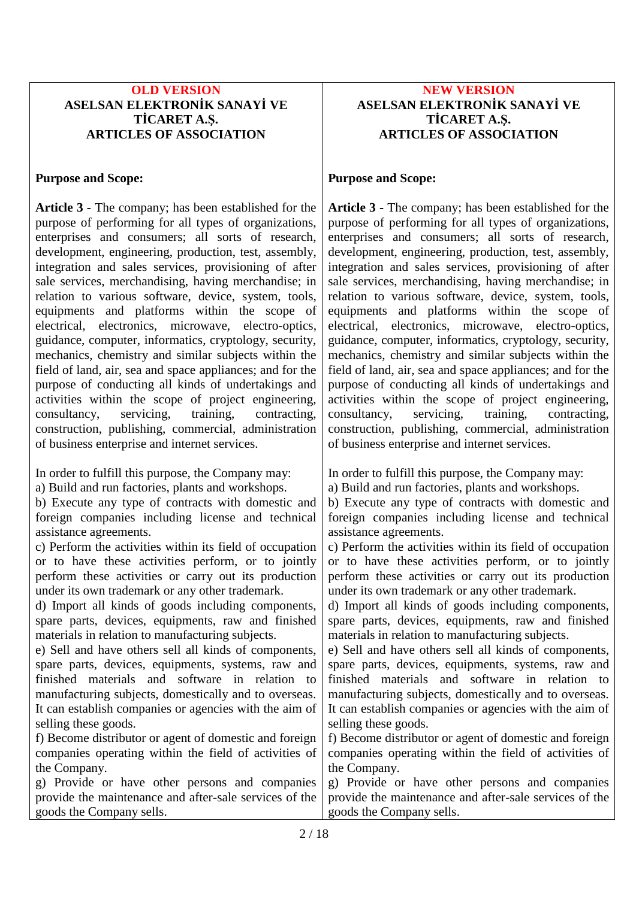## **OLD VERSION ASELSAN ELEKTRONİK SANAYİ VE TİCARET A.Ş. ARTICLES OF ASSOCIATION**

## **Purpose and Scope:**

**Article 3 -** The company; has been established for the purpose of performing for all types of organizations, enterprises and consumers; all sorts of research, development, engineering, production, test, assembly, integration and sales services, provisioning of after sale services, merchandising, having merchandise; in relation to various software, device, system, tools, equipments and platforms within the scope of electrical, electronics, microwave, electro-optics, guidance, computer, informatics, cryptology, security, mechanics, chemistry and similar subjects within the field of land, air, sea and space appliances; and for the purpose of conducting all kinds of undertakings and activities within the scope of project engineering, consultancy, servicing, training, contracting, construction, publishing, commercial, administration of business enterprise and internet services.

In order to fulfill this purpose, the Company may: a) Build and run factories, plants and workshops. b) Execute any type of contracts with domestic and foreign companies including license and technical assistance agreements. c) Perform the activities within its field of occupation or to have these activities perform, or to jointly perform these activities or carry out its production under its own trademark or any other trademark. d) Import all kinds of goods including components, spare parts, devices, equipments, raw and finished materials in relation to manufacturing subjects. e) Sell and have others sell all kinds of components, spare parts, devices, equipments, systems, raw and finished materials and software in relation to manufacturing subjects, domestically and to overseas. It can establish companies or agencies with the aim of selling these goods. f) Become distributor or agent of domestic and foreign companies operating within the field of activities of the Company. g) Provide or have other persons and companies provide the maintenance and after-sale services of the goods the Company sells. In order to fulfill this purpose, the Company may: a) Build and run factories, plants and workshops. b) Execute any type of contracts with domestic and foreign companies including license and technical assistance agreements. c) Perform the activities within its field of occupation or to have these activities perform, or to jointly perform these activities or carry out its production under its own trademark or any other trademark. d) Import all kinds of goods including components, spare parts, devices, equipments, raw and finished materials in relation to manufacturing subjects. e) Sell and have others sell all kinds of components, spare parts, devices, equipments, systems, raw and finished materials and software in relation to manufacturing subjects, domestically and to overseas. It can establish companies or agencies with the aim of selling these goods. f) Become distributor or agent of domestic and foreign companies operating within the field of activities of the Company. g) Provide or have other persons and companies provide the maintenance and after-sale services of the goods the Company sells.

## **NEW VERSION ASELSAN ELEKTRONİK SANAYİ VE TİCARET A.Ş. ARTICLES OF ASSOCIATION**

## **Purpose and Scope:**

**Article 3 -** The company; has been established for the purpose of performing for all types of organizations, enterprises and consumers; all sorts of research, development, engineering, production, test, assembly, integration and sales services, provisioning of after sale services, merchandising, having merchandise; in relation to various software, device, system, tools, equipments and platforms within the scope of electrical, electronics, microwave, electro-optics, guidance, computer, informatics, cryptology, security, mechanics, chemistry and similar subjects within the field of land, air, sea and space appliances; and for the purpose of conducting all kinds of undertakings and activities within the scope of project engineering, consultancy, servicing, training, contracting, construction, publishing, commercial, administration of business enterprise and internet services.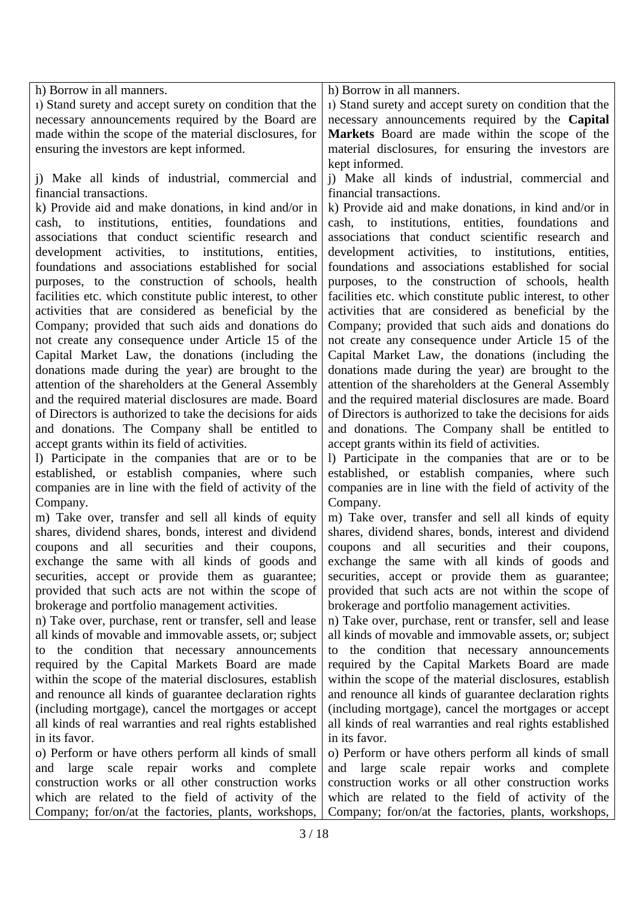| h) Borrow in all manners.                                                                                   | h) Borrow in all manners.                                                                                   |
|-------------------------------------------------------------------------------------------------------------|-------------------------------------------------------------------------------------------------------------|
| 1) Stand surety and accept surety on condition that the                                                     | 1) Stand surety and accept surety on condition that the                                                     |
| necessary announcements required by the Board are                                                           | necessary announcements required by the Capital                                                             |
| made within the scope of the material disclosures, for                                                      | Markets Board are made within the scope of the                                                              |
| ensuring the investors are kept informed.                                                                   | material disclosures, for ensuring the investors are<br>kept informed.                                      |
| i) Make all kinds of industrial, commercial and                                                             | j) Make all kinds of industrial, commercial and                                                             |
| financial transactions.                                                                                     | financial transactions.                                                                                     |
| k) Provide aid and make donations, in kind and/or in<br>cash, to institutions, entities, foundations<br>and | k) Provide aid and make donations, in kind and/or in<br>cash, to institutions, entities, foundations<br>and |
| associations that conduct scientific research and                                                           | associations that conduct scientific research and                                                           |
| development activities, to institutions, entities,                                                          | development activities, to institutions,<br>entities,                                                       |
| foundations and associations established for social                                                         | foundations and associations established for social                                                         |
| purposes, to the construction of schools, health                                                            | purposes, to the construction of schools, health                                                            |
| facilities etc. which constitute public interest, to other                                                  | facilities etc. which constitute public interest, to other                                                  |
| activities that are considered as beneficial by the                                                         | activities that are considered as beneficial by the                                                         |
| Company; provided that such aids and donations do                                                           | Company; provided that such aids and donations do                                                           |
| not create any consequence under Article 15 of the                                                          | not create any consequence under Article 15 of the                                                          |
| Capital Market Law, the donations (including the                                                            | Capital Market Law, the donations (including the                                                            |
| donations made during the year) are brought to the                                                          | donations made during the year) are brought to the                                                          |
| attention of the shareholders at the General Assembly                                                       | attention of the shareholders at the General Assembly                                                       |
| and the required material disclosures are made. Board                                                       | and the required material disclosures are made. Board                                                       |
| of Directors is authorized to take the decisions for aids                                                   | of Directors is authorized to take the decisions for aids                                                   |
| and donations. The Company shall be entitled to                                                             | and donations. The Company shall be entitled to                                                             |
| accept grants within its field of activities.                                                               | accept grants within its field of activities.                                                               |
| 1) Participate in the companies that are or to be                                                           | 1) Participate in the companies that are or to be                                                           |
| established, or establish companies, where such                                                             | established, or establish companies, where such                                                             |
| companies are in line with the field of activity of the                                                     | companies are in line with the field of activity of the                                                     |
| Company.                                                                                                    | Company.                                                                                                    |
| m) Take over, transfer and sell all kinds of equity                                                         | m) Take over, transfer and sell all kinds of equity                                                         |
| shares, dividend shares, bonds, interest and dividend                                                       | shares, dividend shares, bonds, interest and dividend                                                       |
| coupons and all securities and their coupons,                                                               | coupons and all securities and their coupons,                                                               |
| exchange the same with all kinds of goods and                                                               | exchange the same with all kinds of goods and                                                               |
| securities, accept or provide them as guarantee;                                                            | securities, accept or provide them as guarantee;                                                            |
| provided that such acts are not within the scope of                                                         | provided that such acts are not within the scope of                                                         |
| brokerage and portfolio management activities.                                                              | brokerage and portfolio management activities.                                                              |
| n) Take over, purchase, rent or transfer, sell and lease                                                    | n) Take over, purchase, rent or transfer, sell and lease                                                    |
| all kinds of movable and immovable assets, or; subject                                                      | all kinds of movable and immovable assets, or; subject                                                      |
| to the condition that necessary announcements                                                               | to the condition that necessary announcements                                                               |
| required by the Capital Markets Board are made<br>within the scope of the material disclosures, establish   | required by the Capital Markets Board are made<br>within the scope of the material disclosures, establish   |
| and renounce all kinds of guarantee declaration rights                                                      | and renounce all kinds of guarantee declaration rights                                                      |
| (including mortgage), cancel the mortgages or accept                                                        | (including mortgage), cancel the mortgages or accept                                                        |
| all kinds of real warranties and real rights established                                                    | all kinds of real warranties and real rights established                                                    |
| in its favor.                                                                                               | in its favor.                                                                                               |
| o) Perform or have others perform all kinds of small                                                        | o) Perform or have others perform all kinds of small                                                        |
| and large scale repair works and complete                                                                   | and large scale repair works and complete                                                                   |
| construction works or all other construction works                                                          | construction works or all other construction works                                                          |
| which are related to the field of activity of the                                                           | which are related to the field of activity of the                                                           |
| Company; for/on/at the factories, plants, workshops,                                                        | Company; for/on/at the factories, plants, workshops,                                                        |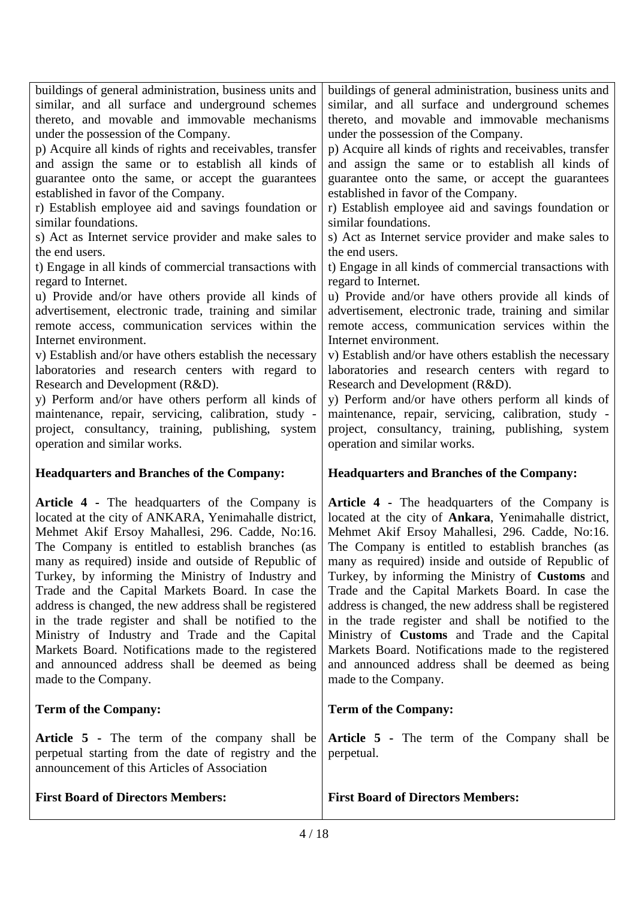| buildings of general administration, business units and                                                                                              | buildings of general administration, business units and                                                                                |
|------------------------------------------------------------------------------------------------------------------------------------------------------|----------------------------------------------------------------------------------------------------------------------------------------|
| similar, and all surface and underground schemes                                                                                                     | similar, and all surface and underground schemes                                                                                       |
| thereto, and movable and immovable mechanisms                                                                                                        | thereto, and movable and immovable mechanisms                                                                                          |
| under the possession of the Company.                                                                                                                 | under the possession of the Company.                                                                                                   |
| p) Acquire all kinds of rights and receivables, transfer                                                                                             | p) Acquire all kinds of rights and receivables, transfer                                                                               |
| and assign the same or to establish all kinds of                                                                                                     | and assign the same or to establish all kinds of                                                                                       |
| guarantee onto the same, or accept the guarantees                                                                                                    | guarantee onto the same, or accept the guarantees                                                                                      |
| established in favor of the Company.                                                                                                                 | established in favor of the Company.                                                                                                   |
| r) Establish employee aid and savings foundation or                                                                                                  | r) Establish employee aid and savings foundation or                                                                                    |
| similar foundations.                                                                                                                                 | similar foundations.                                                                                                                   |
| s) Act as Internet service provider and make sales to                                                                                                | s) Act as Internet service provider and make sales to                                                                                  |
| the end users.                                                                                                                                       | the end users.                                                                                                                         |
| t) Engage in all kinds of commercial transactions with                                                                                               | t) Engage in all kinds of commercial transactions with                                                                                 |
| regard to Internet.                                                                                                                                  | regard to Internet.                                                                                                                    |
| u) Provide and/or have others provide all kinds of                                                                                                   | u) Provide and/or have others provide all kinds of                                                                                     |
| advertisement, electronic trade, training and similar                                                                                                | advertisement, electronic trade, training and similar                                                                                  |
| remote access, communication services within the                                                                                                     | remote access, communication services within the                                                                                       |
| Internet environment.                                                                                                                                | Internet environment.                                                                                                                  |
| v) Establish and/or have others establish the necessary                                                                                              | v) Establish and/or have others establish the necessary                                                                                |
| laboratories and research centers with regard to                                                                                                     | laboratories and research centers with regard to                                                                                       |
| Research and Development (R&D).                                                                                                                      | Research and Development (R&D).                                                                                                        |
| y) Perform and/or have others perform all kinds of                                                                                                   | y) Perform and/or have others perform all kinds of                                                                                     |
| maintenance, repair, servicing, calibration, study -                                                                                                 | maintenance, repair, servicing, calibration, study -                                                                                   |
| project, consultancy, training, publishing,<br>system<br>operation and similar works.<br><b>Headquarters and Branches of the Company:</b>            | project, consultancy, training, publishing, system<br>operation and similar works.<br><b>Headquarters and Branches of the Company:</b> |
| Article 4 - The headquarters of the Company is                                                                                                       | Article 4 - The headquarters of the Company is                                                                                         |
| located at the city of ANKARA, Yenimahalle district,                                                                                                 | located at the city of Ankara, Yenimahalle district,                                                                                   |
| Mehmet Akif Ersoy Mahallesi, 296. Cadde, No:16.                                                                                                      | Mehmet Akif Ersoy Mahallesi, 296. Cadde, No:16.                                                                                        |
| The Company is entitled to establish branches (as                                                                                                    | The Company is entitled to establish branches (as                                                                                      |
| many as required) inside and outside of Republic of                                                                                                  | many as required) inside and outside of Republic of                                                                                    |
| Turkey, by informing the Ministry of Industry and                                                                                                    | Turkey, by informing the Ministry of Customs and                                                                                       |
| Trade and the Capital Markets Board. In case the                                                                                                     | Trade and the Capital Markets Board. In case the                                                                                       |
| address is changed, the new address shall be registered                                                                                              | address is changed, the new address shall be registered                                                                                |
| in the trade register and shall be notified to the                                                                                                   | in the trade register and shall be notified to the                                                                                     |
| Ministry of Industry and Trade and the Capital                                                                                                       | Ministry of <b>Customs</b> and Trade and the Capital                                                                                   |
| Markets Board. Notifications made to the registered                                                                                                  | Markets Board. Notifications made to the registered                                                                                    |
| and announced address shall be deemed as being                                                                                                       | and announced address shall be deemed as being                                                                                         |
| made to the Company.                                                                                                                                 | made to the Company.                                                                                                                   |
| <b>Term of the Company:</b>                                                                                                                          | <b>Term of the Company:</b>                                                                                                            |
| Article 5 - The term of the company shall be<br>perpetual starting from the date of registry and the<br>announcement of this Articles of Association | Article 5 - The term of the Company shall be<br>perpetual.                                                                             |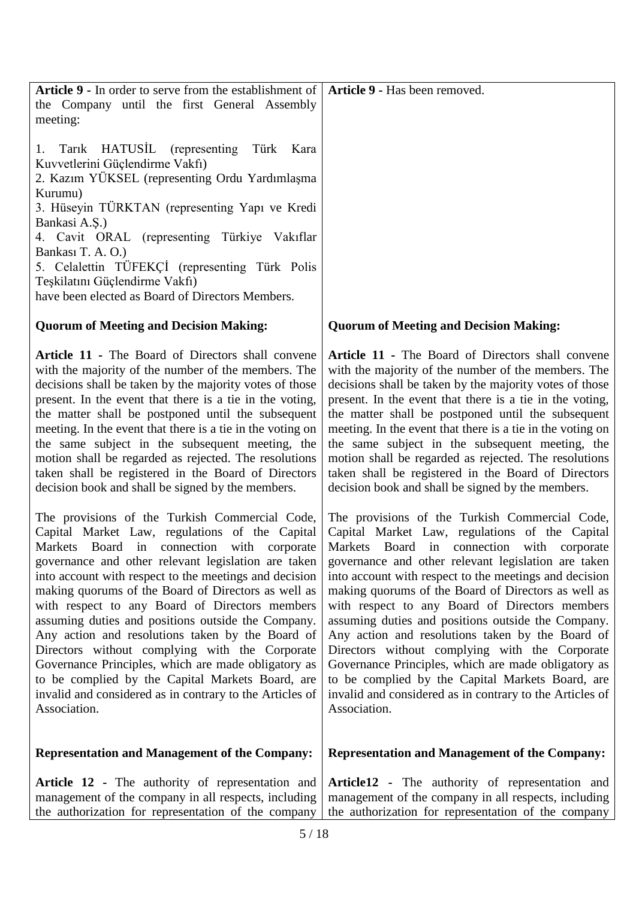| Tarik HATUSIL (representing Türk Kara<br>Kuvvetlerini Güçlendirme Vakfı)<br>2. Kazım YÜKSEL (representing Ordu Yardımlaşma<br>Kurumu)<br>3. Hüseyin TÜRKTAN (representing Yapı ve Kredi<br>Bankasi A.Ş.)<br>4. Cavit ORAL (representing Türkiye Vakıflar<br>Bankası T. A. O.)<br>5. Celalettin TÜFEKÇİ (representing Türk Polis<br>Teşkilatını Güçlendirme Vakfı)<br>have been elected as Board of Directors Members. |                                                            |
|-----------------------------------------------------------------------------------------------------------------------------------------------------------------------------------------------------------------------------------------------------------------------------------------------------------------------------------------------------------------------------------------------------------------------|------------------------------------------------------------|
| <b>Quorum of Meeting and Decision Making:</b>                                                                                                                                                                                                                                                                                                                                                                         | <b>Quorum of Meeting and Decision Making:</b>              |
| Article 11 - The Board of Directors shall convene                                                                                                                                                                                                                                                                                                                                                                     | Article 11 - The Board of Directors shall convene          |
| with the majority of the number of the members. The                                                                                                                                                                                                                                                                                                                                                                   | with the majority of the number of the members. The        |
| decisions shall be taken by the majority votes of those                                                                                                                                                                                                                                                                                                                                                               | decisions shall be taken by the majority votes of those    |
| present. In the event that there is a tie in the voting,                                                                                                                                                                                                                                                                                                                                                              | present. In the event that there is a tie in the voting,   |
| the matter shall be postponed until the subsequent                                                                                                                                                                                                                                                                                                                                                                    | the matter shall be postponed until the subsequent         |
| meeting. In the event that there is a tie in the voting on                                                                                                                                                                                                                                                                                                                                                            | meeting. In the event that there is a tie in the voting on |
| the same subject in the subsequent meeting, the                                                                                                                                                                                                                                                                                                                                                                       | the same subject in the subsequent meeting, the            |
| motion shall be regarded as rejected. The resolutions                                                                                                                                                                                                                                                                                                                                                                 | motion shall be regarded as rejected. The resolutions      |
| taken shall be registered in the Board of Directors                                                                                                                                                                                                                                                                                                                                                                   | taken shall be registered in the Board of Directors        |
| decision book and shall be signed by the members.                                                                                                                                                                                                                                                                                                                                                                     | decision book and shall be signed by the members.          |
| The provisions of the Turkish Commercial Code,                                                                                                                                                                                                                                                                                                                                                                        | The provisions of the Turkish Commercial Code,             |
| Capital Market Law, regulations of the Capital                                                                                                                                                                                                                                                                                                                                                                        | Capital Market Law, regulations of the Capital             |
| Markets Board in connection with corporate                                                                                                                                                                                                                                                                                                                                                                            | Markets Board in connection with corporate                 |
| governance and other relevant legislation are taken                                                                                                                                                                                                                                                                                                                                                                   | governance and other relevant legislation are taken        |
| into account with respect to the meetings and decision                                                                                                                                                                                                                                                                                                                                                                | into account with respect to the meetings and decision     |
| making quorums of the Board of Directors as well as                                                                                                                                                                                                                                                                                                                                                                   | making quorums of the Board of Directors as well as        |
| with respect to any Board of Directors members                                                                                                                                                                                                                                                                                                                                                                        | with respect to any Board of Directors members             |
| assuming duties and positions outside the Company.                                                                                                                                                                                                                                                                                                                                                                    | assuming duties and positions outside the Company.         |
| Any action and resolutions taken by the Board of                                                                                                                                                                                                                                                                                                                                                                      | Any action and resolutions taken by the Board of           |
| Directors without complying with the Corporate                                                                                                                                                                                                                                                                                                                                                                        | Directors without complying with the Corporate             |
| Governance Principles, which are made obligatory as                                                                                                                                                                                                                                                                                                                                                                   | Governance Principles, which are made obligatory as        |
| to be complied by the Capital Markets Board, are                                                                                                                                                                                                                                                                                                                                                                      | to be complied by the Capital Markets Board, are           |
| invalid and considered as in contrary to the Articles of                                                                                                                                                                                                                                                                                                                                                              | invalid and considered as in contrary to the Articles of   |
| Association.                                                                                                                                                                                                                                                                                                                                                                                                          | Association.                                               |
| <b>Representation and Management of the Company:</b>                                                                                                                                                                                                                                                                                                                                                                  | <b>Representation and Management of the Company:</b>       |
| Article 12 - The authority of representation and                                                                                                                                                                                                                                                                                                                                                                      | Article12 - The authority of representation and            |
| management of the company in all respects, including                                                                                                                                                                                                                                                                                                                                                                  | management of the company in all respects, including       |
| the authorization for representation of the company                                                                                                                                                                                                                                                                                                                                                                   | the authorization for representation of the company        |

**Article 9 -** In order to serve from the establishment of **Article 9 -** Has been removed.

the Company until the first General Assembly

meeting: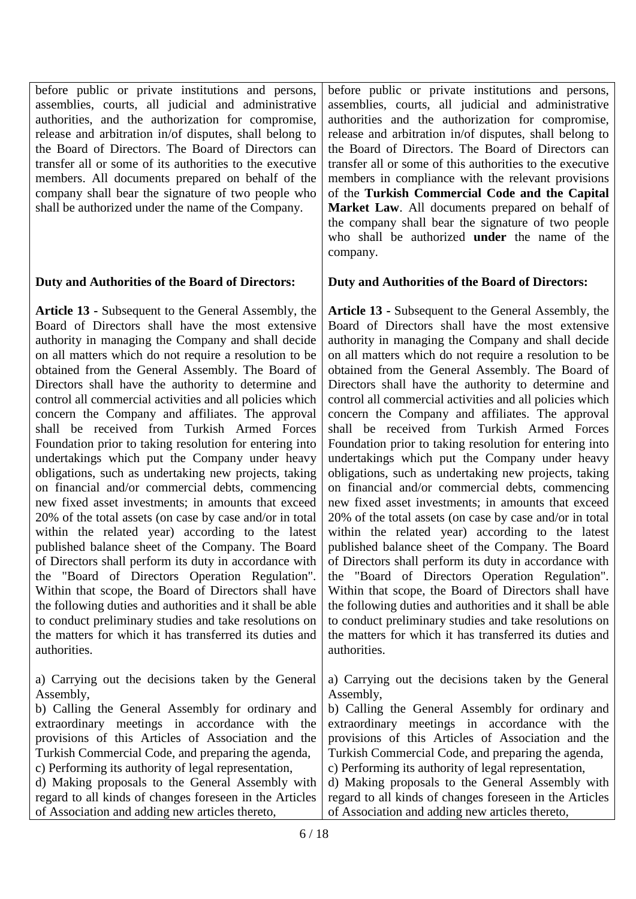before public or private institutions and persons, assemblies, courts, all judicial and administrative authorities, and the authorization for compromise, release and arbitration in/of disputes, shall belong to the Board of Directors. The Board of Directors can transfer all or some of its authorities to the executive members. All documents prepared on behalf of the company shall bear the signature of two people who shall be authorized under the name of the Company.

## **Duty and Authorities of the Board of Directors:**

**Article 13 -** Subsequent to the General Assembly, the Board of Directors shall have the most extensive authority in managing the Company and shall decide on all matters which do not require a resolution to be obtained from the General Assembly. The Board of Directors shall have the authority to determine and control all commercial activities and all policies which concern the Company and affiliates. The approval shall be received from Turkish Armed Forces Foundation prior to taking resolution for entering into undertakings which put the Company under heavy obligations, such as undertaking new projects, taking on financial and/or commercial debts, commencing new fixed asset investments; in amounts that exceed 20% of the total assets (on case by case and/or in total within the related year) according to the latest published balance sheet of the Company. The Board of Directors shall perform its duty in accordance with the "Board of Directors Operation Regulation". Within that scope, the Board of Directors shall have the following duties and authorities and it shall be able to conduct preliminary studies and take resolutions on the matters for which it has transferred its duties and authorities.

a) Carrying out the decisions taken by the General Assembly,

b) Calling the General Assembly for ordinary and extraordinary meetings in accordance with the provisions of this Articles of Association and the Turkish Commercial Code, and preparing the agenda, c) Performing its authority of legal representation, d) Making proposals to the General Assembly with regard to all kinds of changes foreseen in the Articles

of Association and adding new articles thereto,

before public or private institutions and persons, assemblies, courts, all judicial and administrative authorities and the authorization for compromise, release and arbitration in/of disputes, shall belong to the Board of Directors. The Board of Directors can transfer all or some of this authorities to the executive members in compliance with the relevant provisions of the **Turkish Commercial Code and the Capital Market Law**. All documents prepared on behalf of the company shall bear the signature of two people who shall be authorized **under** the name of the company.

## **Duty and Authorities of the Board of Directors:**

**Article 13 -** Subsequent to the General Assembly, the Board of Directors shall have the most extensive authority in managing the Company and shall decide on all matters which do not require a resolution to be obtained from the General Assembly. The Board of Directors shall have the authority to determine and control all commercial activities and all policies which concern the Company and affiliates. The approval shall be received from Turkish Armed Forces Foundation prior to taking resolution for entering into undertakings which put the Company under heavy obligations, such as undertaking new projects, taking on financial and/or commercial debts, commencing new fixed asset investments; in amounts that exceed 20% of the total assets (on case by case and/or in total within the related year) according to the latest published balance sheet of the Company. The Board of Directors shall perform its duty in accordance with the "Board of Directors Operation Regulation". Within that scope, the Board of Directors shall have the following duties and authorities and it shall be able to conduct preliminary studies and take resolutions on the matters for which it has transferred its duties and authorities.

a) Carrying out the decisions taken by the General Assembly,

b) Calling the General Assembly for ordinary and extraordinary meetings in accordance with the provisions of this Articles of Association and the Turkish Commercial Code, and preparing the agenda, c) Performing its authority of legal representation,

d) Making proposals to the General Assembly with regard to all kinds of changes foreseen in the Articles of Association and adding new articles thereto,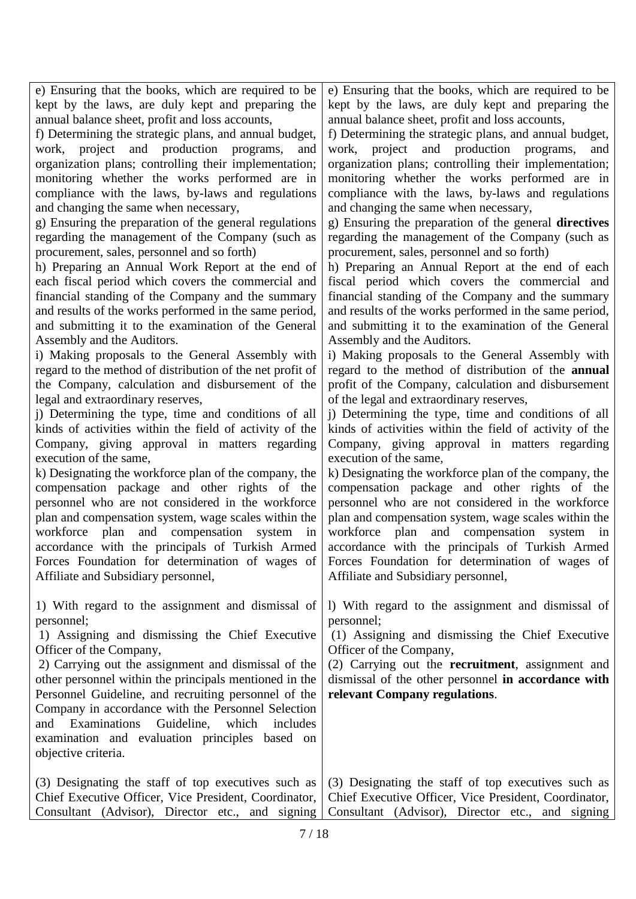kept by the laws, are duly kept and preparing the annual balance sheet, profit and loss accounts, f) Determining the strategic plans, and annual budget, work, project and production programs, and organization plans; controlling their implementation; monitoring whether the works performed are in compliance with the laws, by-laws and regulations and changing the same when necessary, g) Ensuring the preparation of the general regulations regarding the management of the Company (such as procurement, sales, personnel and so forth) h) Preparing an Annual Work Report at the end of each fiscal period which covers the commercial and financial standing of the Company and the summary and results of the works performed in the same period, and submitting it to the examination of the General Assembly and the Auditors. i) Making proposals to the General Assembly with regard to the method of distribution of the net profit of the Company, calculation and disbursement of the legal and extraordinary reserves, j) Determining the type, time and conditions of all kinds of activities within the field of activity of the Company, giving approval in matters regarding execution of the same, k) Designating the workforce plan of the company, the compensation package and other rights of the personnel who are not considered in the workforce plan and compensation system, wage scales within the workforce plan and compensation system in accordance with the principals of Turkish Armed Forces Foundation for determination of wages of Affiliate and Subsidiary personnel, 1) With regard to the assignment and dismissal of personnel; 1) Assigning and dismissing the Chief Executive Officer of the Company, 2) Carrying out the assignment and dismissal of the other personnel within the principals mentioned in the Personnel Guideline, and recruiting personnel of the Company in accordance with the Personnel Selection and Examinations Guideline, which includes examination and evaluation principles based on objective criteria. (3) Designating the staff of top executives such as Chief Executive Officer, Vice President, Coordinator, Consultant (Advisor), Director etc., and signing kept by the laws, are duly kept and preparing the annual balance sheet, profit and loss accounts, f) Determining the strategic plans, and annual budget, work, project and production programs, and organization plans; controlling their implementation; monitoring whether the works performed are in compliance with the laws, by-laws and regulations and changing the same when necessary, g) Ensuring the preparation of the general **directives** regarding the management of the Company (such as procurement, sales, personnel and so forth) h) Preparing an Annual Report at the end of each fiscal period which covers the commercial and financial standing of the Company and the summary and results of the works performed in the same period, and submitting it to the examination of the General Assembly and the Auditors. i) Making proposals to the General Assembly with regard to the method of distribution of the **annual** profit of the Company, calculation and disbursement of the legal and extraordinary reserves, j) Determining the type, time and conditions of all kinds of activities within the field of activity of the Company, giving approval in matters regarding execution of the same, k) Designating the workforce plan of the company, the compensation package and other rights of the personnel who are not considered in the workforce plan and compensation system, wage scales within the workforce plan and compensation system in accordance with the principals of Turkish Armed Forces Foundation for determination of wages of Affiliate and Subsidiary personnel, l) With regard to the assignment and dismissal of personnel; (1) Assigning and dismissing the Chief Executive Officer of the Company, (2) Carrying out the **recruitment**, assignment and dismissal of the other personnel **in accordance with relevant Company regulations**. (3) Designating the staff of top executives such as Chief Executive Officer, Vice President, Coordinator, Consultant (Advisor), Director etc., and signing

e) Ensuring that the books, which are required to be

e) Ensuring that the books, which are required to be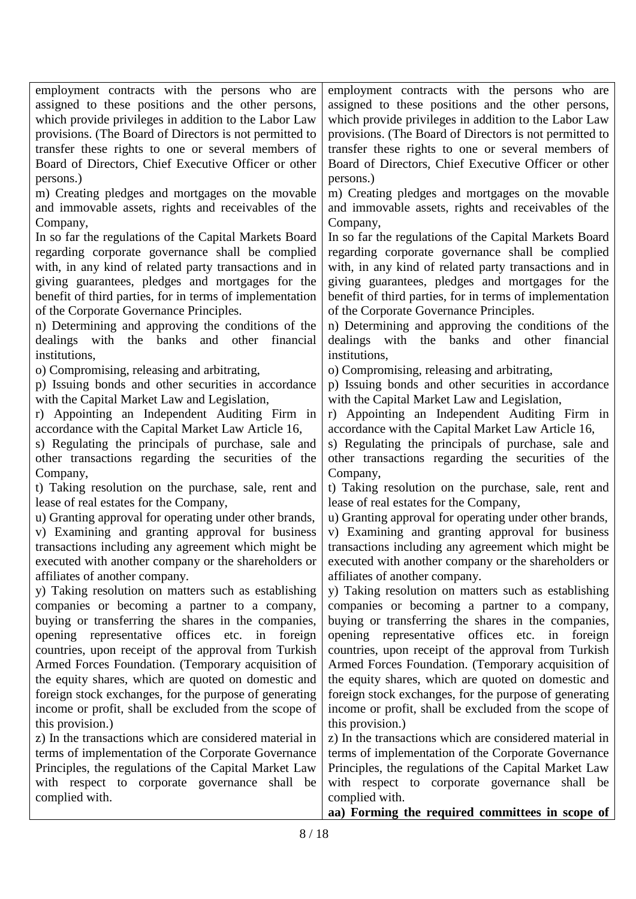| employment contracts with the persons who are            | employment contracts with the persons who are            |
|----------------------------------------------------------|----------------------------------------------------------|
| assigned to these positions and the other persons,       | assigned to these positions and the other persons,       |
| which provide privileges in addition to the Labor Law    | which provide privileges in addition to the Labor Law    |
| provisions. (The Board of Directors is not permitted to  | provisions. (The Board of Directors is not permitted to  |
| transfer these rights to one or several members of       | transfer these rights to one or several members of       |
| Board of Directors, Chief Executive Officer or other     | Board of Directors, Chief Executive Officer or other     |
| persons.)                                                | persons.)                                                |
| m) Creating pledges and mortgages on the movable         | m) Creating pledges and mortgages on the movable         |
| and immovable assets, rights and receivables of the      | and immovable assets, rights and receivables of the      |
| Company,                                                 | Company,                                                 |
| In so far the regulations of the Capital Markets Board   | In so far the regulations of the Capital Markets Board   |
| regarding corporate governance shall be complied         | regarding corporate governance shall be complied         |
| with, in any kind of related party transactions and in   | with, in any kind of related party transactions and in   |
| giving guarantees, pledges and mortgages for the         | giving guarantees, pledges and mortgages for the         |
| benefit of third parties, for in terms of implementation | benefit of third parties, for in terms of implementation |
| of the Corporate Governance Principles.                  | of the Corporate Governance Principles.                  |
| n) Determining and approving the conditions of the       | n) Determining and approving the conditions of the       |
| dealings with the banks and other<br>financial           | dealings with the banks and other<br>financial           |
| institutions,                                            | institutions.                                            |
| o) Compromising, releasing and arbitrating,              | o) Compromising, releasing and arbitrating,              |
| p) Issuing bonds and other securities in accordance      | p) Issuing bonds and other securities in accordance      |
| with the Capital Market Law and Legislation,             | with the Capital Market Law and Legislation,             |
| r) Appointing an Independent Auditing Firm in            | r) Appointing an Independent Auditing Firm in            |
| accordance with the Capital Market Law Article 16,       | accordance with the Capital Market Law Article 16,       |
| s) Regulating the principals of purchase, sale and       | s) Regulating the principals of purchase, sale and       |
| other transactions regarding the securities of the       | other transactions regarding the securities of the       |
| Company,                                                 | Company,                                                 |
| t) Taking resolution on the purchase, sale, rent and     | t) Taking resolution on the purchase, sale, rent and     |
| lease of real estates for the Company,                   | lease of real estates for the Company,                   |
| u) Granting approval for operating under other brands,   | u) Granting approval for operating under other brands,   |
| v) Examining and granting approval for business          | v) Examining and granting approval for business          |
| transactions including any agreement which might be      | transactions including any agreement which might be      |
| executed with another company or the shareholders or     | executed with another company or the shareholders or     |
| affiliates of another company.                           | affiliates of another company.                           |
| y) Taking resolution on matters such as establishing     | y) Taking resolution on matters such as establishing     |
| companies or becoming a partner to a company,            | companies or becoming a partner to a company,            |
| buying or transferring the shares in the companies,      | buying or transferring the shares in the companies,      |
| opening representative offices etc. in foreign           | opening representative offices etc. in<br>foreign        |
| countries, upon receipt of the approval from Turkish     | countries, upon receipt of the approval from Turkish     |
| Armed Forces Foundation. (Temporary acquisition of       | Armed Forces Foundation. (Temporary acquisition of       |
| the equity shares, which are quoted on domestic and      | the equity shares, which are quoted on domestic and      |
| foreign stock exchanges, for the purpose of generating   | foreign stock exchanges, for the purpose of generating   |
| income or profit, shall be excluded from the scope of    | income or profit, shall be excluded from the scope of    |
| this provision.)                                         | this provision.)                                         |
| z) In the transactions which are considered material in  | z) In the transactions which are considered material in  |
| terms of implementation of the Corporate Governance      | terms of implementation of the Corporate Governance      |
| Principles, the regulations of the Capital Market Law    | Principles, the regulations of the Capital Market Law    |
| with respect to corporate governance shall be            | with respect to corporate governance shall be            |
| complied with.                                           | complied with.                                           |
|                                                          | aa) Forming the required committees in scope of          |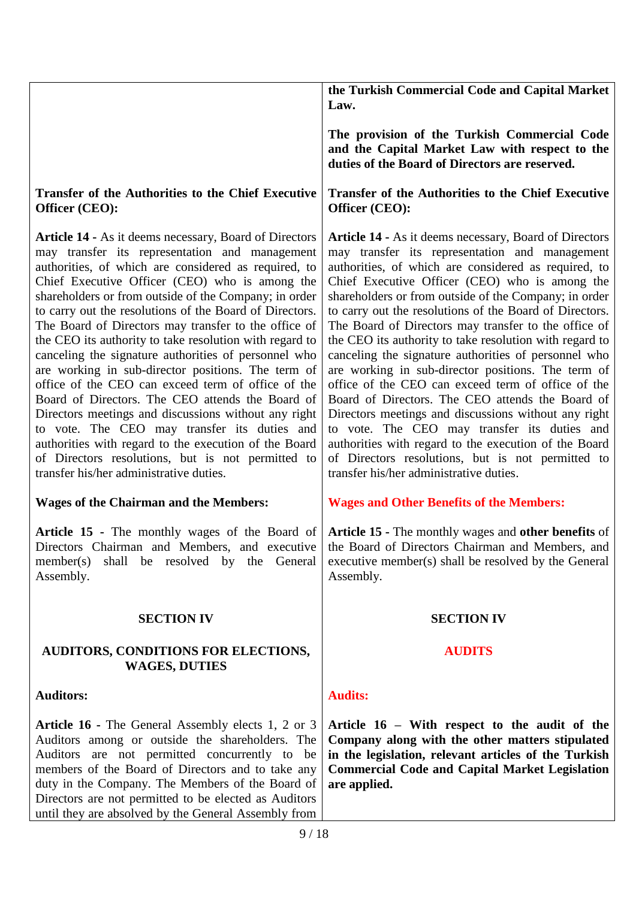| The provision of the Turkish Commercial Code<br>and the Capital Market Law with respect to the<br>duties of the Board of Directors are reserved.<br>Transfer of the Authorities to the Chief Executive<br><b>Transfer of the Authorities to the Chief Executive</b><br>Officer (CEO):<br>Officer (CEO):<br>Article 14 - As it deems necessary, Board of Directors<br>Article 14 - As it deems necessary, Board of Directors<br>may transfer its representation and management<br>may transfer its representation and management<br>authorities, of which are considered as required, to<br>authorities, of which are considered as required, to<br>Chief Executive Officer (CEO) who is among the<br>Chief Executive Officer (CEO) who is among the<br>shareholders or from outside of the Company; in order<br>shareholders or from outside of the Company; in order<br>to carry out the resolutions of the Board of Directors.<br>to carry out the resolutions of the Board of Directors.<br>The Board of Directors may transfer to the office of<br>The Board of Directors may transfer to the office of<br>the CEO its authority to take resolution with regard to<br>the CEO its authority to take resolution with regard to<br>canceling the signature authorities of personnel who<br>canceling the signature authorities of personnel who<br>are working in sub-director positions. The term of<br>are working in sub-director positions. The term of<br>office of the CEO can exceed term of office of the<br>office of the CEO can exceed term of office of the<br>Board of Directors. The CEO attends the Board of<br>Board of Directors. The CEO attends the Board of<br>Directors meetings and discussions without any right<br>Directors meetings and discussions without any right<br>to vote. The CEO may transfer its duties and<br>to vote. The CEO may transfer its duties and<br>authorities with regard to the execution of the Board<br>authorities with regard to the execution of the Board<br>of Directors resolutions, but is not permitted to<br>of Directors resolutions, but is not permitted to<br>transfer his/her administrative duties.<br>transfer his/her administrative duties.<br><b>Wages of the Chairman and the Members:</b><br><b>Wages and Other Benefits of the Members:</b><br>Article 15 - The monthly wages of the Board of<br>Directors Chairman and Members, and executive<br>the Board of Directors Chairman and Members, and<br>shall be resolved by the General<br>executive member(s) shall be resolved by the General<br>member(s)<br>Assembly.<br>Assembly.<br><b>SECTION IV</b><br><b>SECTION IV</b><br><b>AUDITS</b><br><b>AUDITORS, CONDITIONS FOR ELECTIONS,</b><br><b>WAGES, DUTIES</b><br><b>Auditors:</b><br><b>Audits:</b><br>Article 16 - The General Assembly elects 1, 2 or 3<br>Article 16 – With respect to the audit of the<br>Auditors among or outside the shareholders. The<br>Company along with the other matters stipulated<br>Auditors are not permitted concurrently to be<br>in the legislation, relevant articles of the Turkish<br>members of the Board of Directors and to take any<br><b>Commercial Code and Capital Market Legislation</b><br>duty in the Company. The Members of the Board of<br>are applied.<br>Directors are not permitted to be elected as Auditors<br>until they are absolved by the General Assembly from<br>9/18 |  |  | the Turkish Commercial Code and Capital Market<br>Law. |
|---------------------------------------------------------------------------------------------------------------------------------------------------------------------------------------------------------------------------------------------------------------------------------------------------------------------------------------------------------------------------------------------------------------------------------------------------------------------------------------------------------------------------------------------------------------------------------------------------------------------------------------------------------------------------------------------------------------------------------------------------------------------------------------------------------------------------------------------------------------------------------------------------------------------------------------------------------------------------------------------------------------------------------------------------------------------------------------------------------------------------------------------------------------------------------------------------------------------------------------------------------------------------------------------------------------------------------------------------------------------------------------------------------------------------------------------------------------------------------------------------------------------------------------------------------------------------------------------------------------------------------------------------------------------------------------------------------------------------------------------------------------------------------------------------------------------------------------------------------------------------------------------------------------------------------------------------------------------------------------------------------------------------------------------------------------------------------------------------------------------------------------------------------------------------------------------------------------------------------------------------------------------------------------------------------------------------------------------------------------------------------------------------------------------------------------------------------------------------------------------------------------------------------------------------------------------------------------------------------------------------------------------------------------------------------------------------------------------------------------------------------------------------------------------------------------------------------------------------------------------------------------------------------------------------------------------------------------------------------------------------------------------------------------------------------------------------------------------------------------------------------------------------------------------------------------------------------------------------------------------------------------------------------------------------------------------------------------------------------------------------------------------------------------------------|--|--|--------------------------------------------------------|
|                                                                                                                                                                                                                                                                                                                                                                                                                                                                                                                                                                                                                                                                                                                                                                                                                                                                                                                                                                                                                                                                                                                                                                                                                                                                                                                                                                                                                                                                                                                                                                                                                                                                                                                                                                                                                                                                                                                                                                                                                                                                                                                                                                                                                                                                                                                                                                                                                                                                                                                                                                                                                                                                                                                                                                                                                                                                                                                                                                                                                                                                                                                                                                                                                                                                                                                                                                                                                           |  |  |                                                        |
|                                                                                                                                                                                                                                                                                                                                                                                                                                                                                                                                                                                                                                                                                                                                                                                                                                                                                                                                                                                                                                                                                                                                                                                                                                                                                                                                                                                                                                                                                                                                                                                                                                                                                                                                                                                                                                                                                                                                                                                                                                                                                                                                                                                                                                                                                                                                                                                                                                                                                                                                                                                                                                                                                                                                                                                                                                                                                                                                                                                                                                                                                                                                                                                                                                                                                                                                                                                                                           |  |  |                                                        |
|                                                                                                                                                                                                                                                                                                                                                                                                                                                                                                                                                                                                                                                                                                                                                                                                                                                                                                                                                                                                                                                                                                                                                                                                                                                                                                                                                                                                                                                                                                                                                                                                                                                                                                                                                                                                                                                                                                                                                                                                                                                                                                                                                                                                                                                                                                                                                                                                                                                                                                                                                                                                                                                                                                                                                                                                                                                                                                                                                                                                                                                                                                                                                                                                                                                                                                                                                                                                                           |  |  |                                                        |
| <b>Article 15 - The monthly wages and other benefits of</b>                                                                                                                                                                                                                                                                                                                                                                                                                                                                                                                                                                                                                                                                                                                                                                                                                                                                                                                                                                                                                                                                                                                                                                                                                                                                                                                                                                                                                                                                                                                                                                                                                                                                                                                                                                                                                                                                                                                                                                                                                                                                                                                                                                                                                                                                                                                                                                                                                                                                                                                                                                                                                                                                                                                                                                                                                                                                                                                                                                                                                                                                                                                                                                                                                                                                                                                                                               |  |  |                                                        |
|                                                                                                                                                                                                                                                                                                                                                                                                                                                                                                                                                                                                                                                                                                                                                                                                                                                                                                                                                                                                                                                                                                                                                                                                                                                                                                                                                                                                                                                                                                                                                                                                                                                                                                                                                                                                                                                                                                                                                                                                                                                                                                                                                                                                                                                                                                                                                                                                                                                                                                                                                                                                                                                                                                                                                                                                                                                                                                                                                                                                                                                                                                                                                                                                                                                                                                                                                                                                                           |  |  |                                                        |
|                                                                                                                                                                                                                                                                                                                                                                                                                                                                                                                                                                                                                                                                                                                                                                                                                                                                                                                                                                                                                                                                                                                                                                                                                                                                                                                                                                                                                                                                                                                                                                                                                                                                                                                                                                                                                                                                                                                                                                                                                                                                                                                                                                                                                                                                                                                                                                                                                                                                                                                                                                                                                                                                                                                                                                                                                                                                                                                                                                                                                                                                                                                                                                                                                                                                                                                                                                                                                           |  |  |                                                        |
|                                                                                                                                                                                                                                                                                                                                                                                                                                                                                                                                                                                                                                                                                                                                                                                                                                                                                                                                                                                                                                                                                                                                                                                                                                                                                                                                                                                                                                                                                                                                                                                                                                                                                                                                                                                                                                                                                                                                                                                                                                                                                                                                                                                                                                                                                                                                                                                                                                                                                                                                                                                                                                                                                                                                                                                                                                                                                                                                                                                                                                                                                                                                                                                                                                                                                                                                                                                                                           |  |  |                                                        |
|                                                                                                                                                                                                                                                                                                                                                                                                                                                                                                                                                                                                                                                                                                                                                                                                                                                                                                                                                                                                                                                                                                                                                                                                                                                                                                                                                                                                                                                                                                                                                                                                                                                                                                                                                                                                                                                                                                                                                                                                                                                                                                                                                                                                                                                                                                                                                                                                                                                                                                                                                                                                                                                                                                                                                                                                                                                                                                                                                                                                                                                                                                                                                                                                                                                                                                                                                                                                                           |  |  |                                                        |
|                                                                                                                                                                                                                                                                                                                                                                                                                                                                                                                                                                                                                                                                                                                                                                                                                                                                                                                                                                                                                                                                                                                                                                                                                                                                                                                                                                                                                                                                                                                                                                                                                                                                                                                                                                                                                                                                                                                                                                                                                                                                                                                                                                                                                                                                                                                                                                                                                                                                                                                                                                                                                                                                                                                                                                                                                                                                                                                                                                                                                                                                                                                                                                                                                                                                                                                                                                                                                           |  |  |                                                        |
|                                                                                                                                                                                                                                                                                                                                                                                                                                                                                                                                                                                                                                                                                                                                                                                                                                                                                                                                                                                                                                                                                                                                                                                                                                                                                                                                                                                                                                                                                                                                                                                                                                                                                                                                                                                                                                                                                                                                                                                                                                                                                                                                                                                                                                                                                                                                                                                                                                                                                                                                                                                                                                                                                                                                                                                                                                                                                                                                                                                                                                                                                                                                                                                                                                                                                                                                                                                                                           |  |  |                                                        |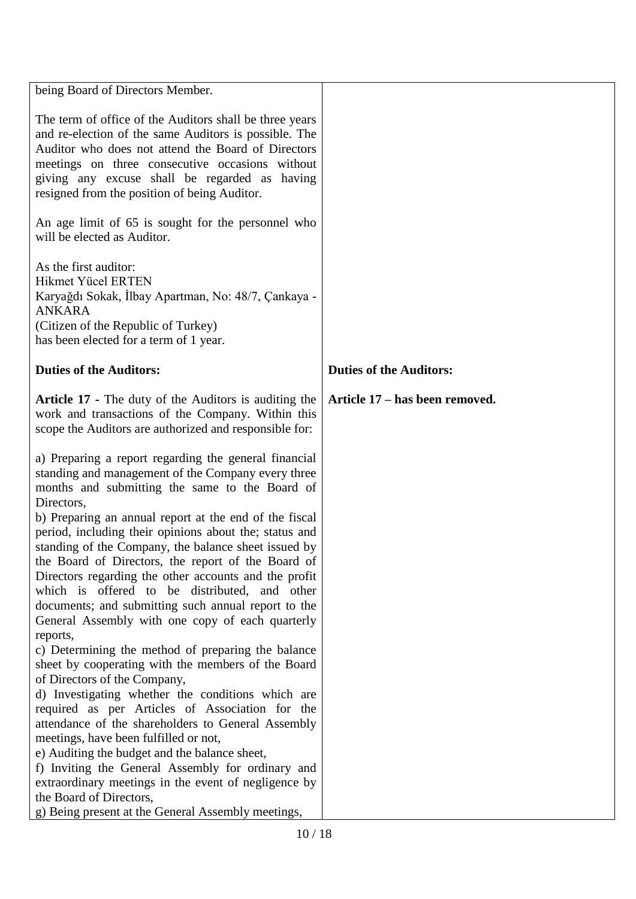| The term of office of the Auditors shall be three years<br>and re-election of the same Auditors is possible. The<br>Auditor who does not attend the Board of Directors<br>meetings on three consecutive occasions without<br>giving any excuse shall be regarded as having<br>resigned from the position of being Auditor.<br>An age limit of 65 is sought for the personnel who<br>will be elected as Auditor.<br>As the first auditor:<br><b>Hikmet Yücel ERTEN</b><br>Karyağdı Sokak, İlbay Apartman, No: 48/7, Çankaya -<br><b>ANKARA</b><br>(Citizen of the Republic of Turkey)<br>has been elected for a term of 1 year.<br><b>Duties of the Auditors:</b><br><b>Duties of the Auditors:</b><br><b>Article 17 - The duty of the Auditors is auditing the</b><br>Article 17 – has been removed.<br>work and transactions of the Company. Within this<br>scope the Auditors are authorized and responsible for:<br>a) Preparing a report regarding the general financial<br>standing and management of the Company every three<br>months and submitting the same to the Board of<br>Directors,<br>b) Preparing an annual report at the end of the fiscal<br>period, including their opinions about the; status and<br>standing of the Company, the balance sheet issued by<br>the Board of Directors, the report of the Board of<br>Directors regarding the other accounts and the profit<br>which is offered to be distributed, and other<br>documents; and submitting such annual report to the<br>General Assembly with one copy of each quarterly<br>reports,<br>c) Determining the method of preparing the balance<br>sheet by cooperating with the members of the Board<br>of Directors of the Company,<br>d) Investigating whether the conditions which are<br>required as per Articles of Association for the<br>attendance of the shareholders to General Assembly | being Board of Directors Member.      |  |
|---------------------------------------------------------------------------------------------------------------------------------------------------------------------------------------------------------------------------------------------------------------------------------------------------------------------------------------------------------------------------------------------------------------------------------------------------------------------------------------------------------------------------------------------------------------------------------------------------------------------------------------------------------------------------------------------------------------------------------------------------------------------------------------------------------------------------------------------------------------------------------------------------------------------------------------------------------------------------------------------------------------------------------------------------------------------------------------------------------------------------------------------------------------------------------------------------------------------------------------------------------------------------------------------------------------------------------------------------------------------------------------------------------------------------------------------------------------------------------------------------------------------------------------------------------------------------------------------------------------------------------------------------------------------------------------------------------------------------------------------------------------------------------------------------------------------------------------------------------------------------------|---------------------------------------|--|
|                                                                                                                                                                                                                                                                                                                                                                                                                                                                                                                                                                                                                                                                                                                                                                                                                                                                                                                                                                                                                                                                                                                                                                                                                                                                                                                                                                                                                                                                                                                                                                                                                                                                                                                                                                                                                                                                                 |                                       |  |
|                                                                                                                                                                                                                                                                                                                                                                                                                                                                                                                                                                                                                                                                                                                                                                                                                                                                                                                                                                                                                                                                                                                                                                                                                                                                                                                                                                                                                                                                                                                                                                                                                                                                                                                                                                                                                                                                                 |                                       |  |
|                                                                                                                                                                                                                                                                                                                                                                                                                                                                                                                                                                                                                                                                                                                                                                                                                                                                                                                                                                                                                                                                                                                                                                                                                                                                                                                                                                                                                                                                                                                                                                                                                                                                                                                                                                                                                                                                                 |                                       |  |
|                                                                                                                                                                                                                                                                                                                                                                                                                                                                                                                                                                                                                                                                                                                                                                                                                                                                                                                                                                                                                                                                                                                                                                                                                                                                                                                                                                                                                                                                                                                                                                                                                                                                                                                                                                                                                                                                                 |                                       |  |
| e) Auditing the budget and the balance sheet,<br>f) Inviting the General Assembly for ordinary and<br>extraordinary meetings in the event of negligence by<br>the Board of Directors,<br>g) Being present at the General Assembly meetings,                                                                                                                                                                                                                                                                                                                                                                                                                                                                                                                                                                                                                                                                                                                                                                                                                                                                                                                                                                                                                                                                                                                                                                                                                                                                                                                                                                                                                                                                                                                                                                                                                                     | meetings, have been fulfilled or not, |  |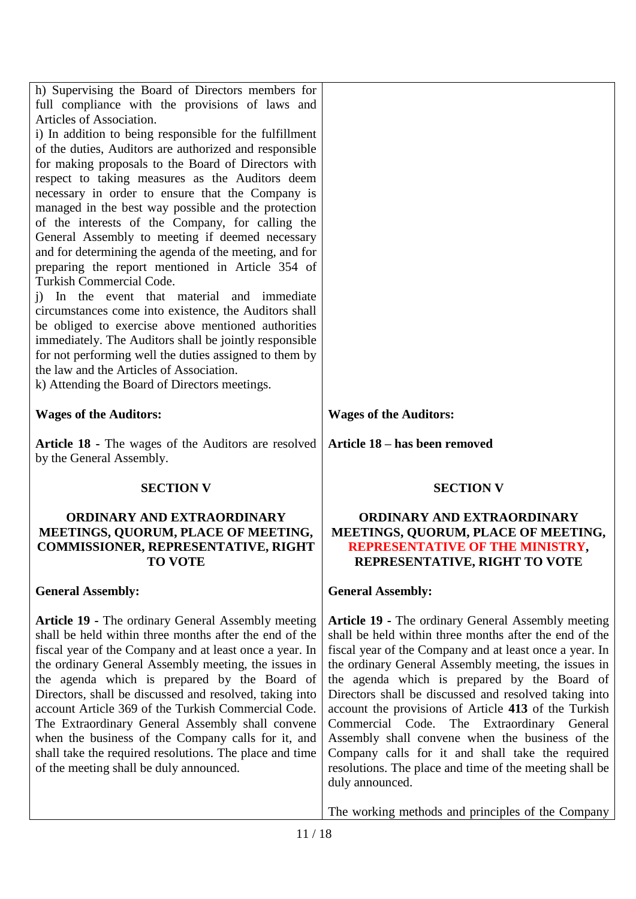| h) Supervising the Board of Directors members for<br>full compliance with the provisions of laws and<br>Articles of Association.<br>i) In addition to being responsible for the fulfillment<br>of the duties, Auditors are authorized and responsible<br>for making proposals to the Board of Directors with<br>respect to taking measures as the Auditors deem<br>necessary in order to ensure that the Company is<br>managed in the best way possible and the protection<br>of the interests of the Company, for calling the<br>General Assembly to meeting if deemed necessary<br>and for determining the agenda of the meeting, and for<br>preparing the report mentioned in Article 354 of<br><b>Turkish Commercial Code.</b><br>In the event that material and immediate<br>$\ddot{1}$<br>circumstances come into existence, the Auditors shall<br>be obliged to exercise above mentioned authorities<br>immediately. The Auditors shall be jointly responsible<br>for not performing well the duties assigned to them by<br>the law and the Articles of Association.<br>k) Attending the Board of Directors meetings. |                                                                                                                                                                                                                                                                                                                                                 |
|------------------------------------------------------------------------------------------------------------------------------------------------------------------------------------------------------------------------------------------------------------------------------------------------------------------------------------------------------------------------------------------------------------------------------------------------------------------------------------------------------------------------------------------------------------------------------------------------------------------------------------------------------------------------------------------------------------------------------------------------------------------------------------------------------------------------------------------------------------------------------------------------------------------------------------------------------------------------------------------------------------------------------------------------------------------------------------------------------------------------------|-------------------------------------------------------------------------------------------------------------------------------------------------------------------------------------------------------------------------------------------------------------------------------------------------------------------------------------------------|
| <b>Wages of the Auditors:</b>                                                                                                                                                                                                                                                                                                                                                                                                                                                                                                                                                                                                                                                                                                                                                                                                                                                                                                                                                                                                                                                                                                | <b>Wages of the Auditors:</b>                                                                                                                                                                                                                                                                                                                   |
| <b>Article 18 - The wages of the Auditors are resolved</b><br>by the General Assembly.                                                                                                                                                                                                                                                                                                                                                                                                                                                                                                                                                                                                                                                                                                                                                                                                                                                                                                                                                                                                                                       | Article 18 – has been removed                                                                                                                                                                                                                                                                                                                   |
| <b>SECTION V</b>                                                                                                                                                                                                                                                                                                                                                                                                                                                                                                                                                                                                                                                                                                                                                                                                                                                                                                                                                                                                                                                                                                             | <b>SECTION V</b>                                                                                                                                                                                                                                                                                                                                |
| <b>ORDINARY AND EXTRAORDINARY</b><br>MEETINGS, QUORUM, PLACE OF MEETING,<br><b>COMMISSIONER, REPRESENTATIVE, RIGHT</b><br><b>TO VOTE</b>                                                                                                                                                                                                                                                                                                                                                                                                                                                                                                                                                                                                                                                                                                                                                                                                                                                                                                                                                                                     | <b>ORDINARY AND EXTRAORDINARY</b><br>MEETINGS, QUORUM, PLACE OF MEETING,<br>REPRESENTATIVE OF THE MINISTRY,<br>REPRESENTATIVE, RIGHT TO VOTE                                                                                                                                                                                                    |
| <b>General Assembly:</b>                                                                                                                                                                                                                                                                                                                                                                                                                                                                                                                                                                                                                                                                                                                                                                                                                                                                                                                                                                                                                                                                                                     | <b>General Assembly:</b>                                                                                                                                                                                                                                                                                                                        |
| <b>Article 19 - The ordinary General Assembly meeting</b><br>shall be held within three months after the end of the<br>fiscal year of the Company and at least once a year. In<br>the ordinary General Assembly meeting, the issues in<br>the agenda which is prepared by the Board of<br>Directors, shall be discussed and resolved, taking into                                                                                                                                                                                                                                                                                                                                                                                                                                                                                                                                                                                                                                                                                                                                                                            | <b>Article 19 - The ordinary General Assembly meeting</b><br>shall be held within three months after the end of the<br>fiscal year of the Company and at least once a year. In<br>the ordinary General Assembly meeting, the issues in<br>the agenda which is prepared by the Board of<br>Directors shall be discussed and resolved taking into |

account Article 369 of the Turkish Commercial Code. The Extraordinary General Assembly shall convene when the business of the Company calls for it, and shall take the required resolutions. The place and time of the meeting shall be duly announced.

account the provisions of Article **413** of the Turkish Commercial Code. The Extraordinary General Assembly shall convene when the business of the Company calls for it and shall take the required resolutions. The place and time of the meeting shall be duly announced.

The working methods and principles of the Company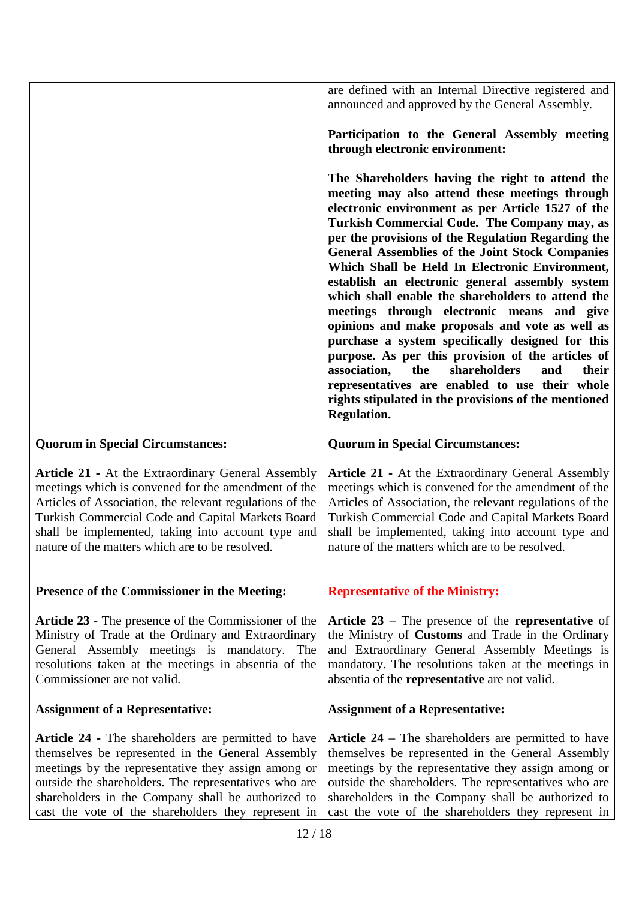|                                                                                                                                                                                                                                                                                                                                              | are defined with an Internal Directive registered and<br>announced and approved by the General Assembly.                                                                                                                                                                                                                                                                                                                                                                                                                                                                                                                                                                                                                                                                                                                                                                          |
|----------------------------------------------------------------------------------------------------------------------------------------------------------------------------------------------------------------------------------------------------------------------------------------------------------------------------------------------|-----------------------------------------------------------------------------------------------------------------------------------------------------------------------------------------------------------------------------------------------------------------------------------------------------------------------------------------------------------------------------------------------------------------------------------------------------------------------------------------------------------------------------------------------------------------------------------------------------------------------------------------------------------------------------------------------------------------------------------------------------------------------------------------------------------------------------------------------------------------------------------|
|                                                                                                                                                                                                                                                                                                                                              | Participation to the General Assembly meeting<br>through electronic environment:                                                                                                                                                                                                                                                                                                                                                                                                                                                                                                                                                                                                                                                                                                                                                                                                  |
|                                                                                                                                                                                                                                                                                                                                              | The Shareholders having the right to attend the<br>meeting may also attend these meetings through<br>electronic environment as per Article 1527 of the<br>Turkish Commercial Code. The Company may, as<br>per the provisions of the Regulation Regarding the<br><b>General Assemblies of the Joint Stock Companies</b><br>Which Shall be Held In Electronic Environment,<br>establish an electronic general assembly system<br>which shall enable the shareholders to attend the<br>meetings through electronic means and give<br>opinions and make proposals and vote as well as<br>purchase a system specifically designed for this<br>purpose. As per this provision of the articles of<br>the<br>shareholders<br>their<br>association,<br>and<br>representatives are enabled to use their whole<br>rights stipulated in the provisions of the mentioned<br><b>Regulation.</b> |
| <b>Quorum in Special Circumstances:</b>                                                                                                                                                                                                                                                                                                      | <b>Quorum in Special Circumstances:</b>                                                                                                                                                                                                                                                                                                                                                                                                                                                                                                                                                                                                                                                                                                                                                                                                                                           |
| <b>Article 21 - At the Extraordinary General Assembly</b><br>meetings which is convened for the amendment of the<br>Articles of Association, the relevant regulations of the<br>Turkish Commercial Code and Capital Markets Board<br>shall be implemented, taking into account type and<br>nature of the matters which are to be resolved.   | <b>Article 21 - At the Extraordinary General Assembly</b><br>meetings which is convened for the amendment of the<br>Articles of Association, the relevant regulations of the<br>Turkish Commercial Code and Capital Markets Board<br>shall be implemented, taking into account type and<br>nature of the matters which are to be resolved.                                                                                                                                                                                                                                                                                                                                                                                                                                                                                                                                        |
| Presence of the Commissioner in the Meeting:                                                                                                                                                                                                                                                                                                 | <b>Representative of the Ministry:</b>                                                                                                                                                                                                                                                                                                                                                                                                                                                                                                                                                                                                                                                                                                                                                                                                                                            |
| Article 23 - The presence of the Commissioner of the<br>Ministry of Trade at the Ordinary and Extraordinary<br>General Assembly meetings is mandatory. The<br>resolutions taken at the meetings in absentia of the<br>Commissioner are not valid.                                                                                            | Article $23$ – The presence of the representative of<br>the Ministry of <b>Customs</b> and Trade in the Ordinary<br>and Extraordinary General Assembly Meetings is<br>mandatory. The resolutions taken at the meetings in<br>absentia of the representative are not valid.                                                                                                                                                                                                                                                                                                                                                                                                                                                                                                                                                                                                        |
| <b>Assignment of a Representative:</b>                                                                                                                                                                                                                                                                                                       | <b>Assignment of a Representative:</b>                                                                                                                                                                                                                                                                                                                                                                                                                                                                                                                                                                                                                                                                                                                                                                                                                                            |
| <b>Article 24 - The shareholders are permitted to have</b><br>themselves be represented in the General Assembly<br>meetings by the representative they assign among or<br>outside the shareholders. The representatives who are<br>shareholders in the Company shall be authorized to<br>cast the vote of the shareholders they represent in | <b>Article 24</b> – The shareholders are permitted to have<br>themselves be represented in the General Assembly<br>meetings by the representative they assign among or<br>outside the shareholders. The representatives who are<br>shareholders in the Company shall be authorized to<br>cast the vote of the shareholders they represent in                                                                                                                                                                                                                                                                                                                                                                                                                                                                                                                                      |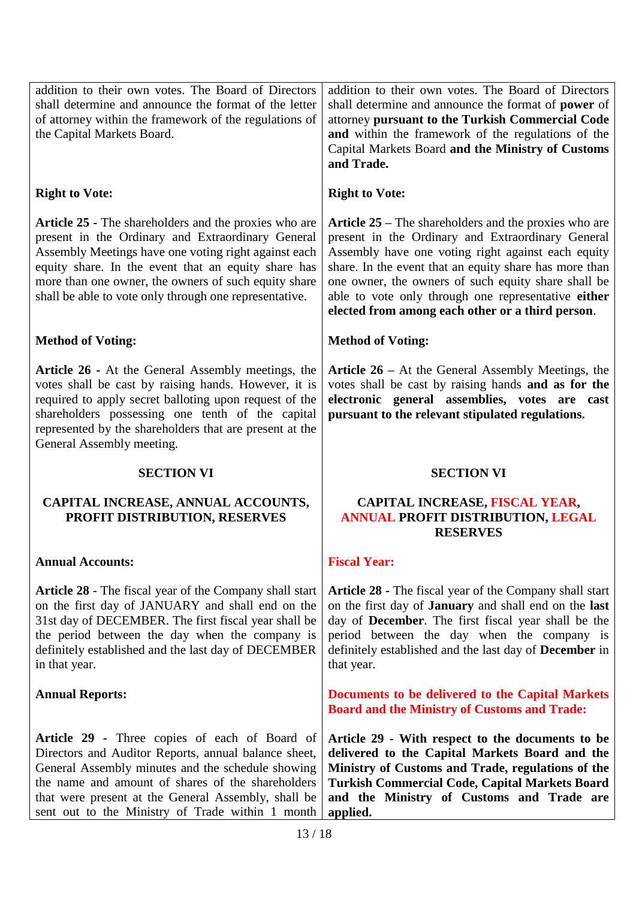addition to their own votes. The Board of Directors shall determine and announce the format of the letter of attorney within the framework of the regulations of the Capital Markets Board. addition to their own votes. The Board of Directors shall determine and announce the format of **power** of attorney **pursuant to the Turkish Commercial Code and** within the framework of the regulations of the Capital Markets Board **and the Ministry of Customs** 

## **Right to Vote:**

**Article 25 -** The shareholders and the proxies who are present in the Ordinary and Extraordinary General Assembly Meetings have one voting right against each equity share. In the event that an equity share has more than one owner, the owners of such equity share shall be able to vote only through one representative.

# **Method of Voting:**

**Article 26 -** At the General Assembly meetings, the votes shall be cast by raising hands. However, it is required to apply secret balloting upon request of the shareholders possessing one tenth of the capital represented by the shareholders that are present at the General Assembly meeting.

## **SECTION VI**

# **CAPITAL INCREASE, ANNUAL ACCOUNTS, PROFIT DISTRIBUTION, RESERVES**

## **Annual Accounts:**

**Article 28** - The fiscal year of the Company shall start on the first day of JANUARY and shall end on the 31st day of DECEMBER. The first fiscal year shall be the period between the day when the company is definitely established and the last day of DECEMBER in that year.

## **Annual Reports:**

**Article 29 -** Three copies of each of Board of Directors and Auditor Reports, annual balance sheet, General Assembly minutes and the schedule showing the name and amount of shares of the shareholders that were present at the General Assembly, shall be sent out to the Ministry of Trade within 1 month

**and Trade.**

## **Right to Vote:**

**Article 25 –** The shareholders and the proxies who are present in the Ordinary and Extraordinary General Assembly have one voting right against each equity share. In the event that an equity share has more than one owner, the owners of such equity share shall be able to vote only through one representative **either elected from among each other or a third person**.

## **Method of Voting:**

**Article 26 –** At the General Assembly Meetings, the votes shall be cast by raising hands **and as for the electronic general assemblies, votes are cast pursuant to the relevant stipulated regulations.**

## **SECTION VI**

## **CAPITAL INCREASE, FISCAL YEAR, ANNUAL PROFIT DISTRIBUTION, LEGAL RESERVES**

## **Fiscal Year:**

**Article 28 -** The fiscal year of the Company shall start on the first day of **January** and shall end on the **last** day of **December**. The first fiscal year shall be the period between the day when the company is definitely established and the last day of **December** in that year.

**Documents to be delivered to the Capital Markets Board and the Ministry of Customs and Trade:**

**Article 29 - With respect to the documents to be delivered to the Capital Markets Board and the Ministry of Customs and Trade, regulations of the Turkish Commercial Code, Capital Markets Board and the Ministry of Customs and Trade are applied.**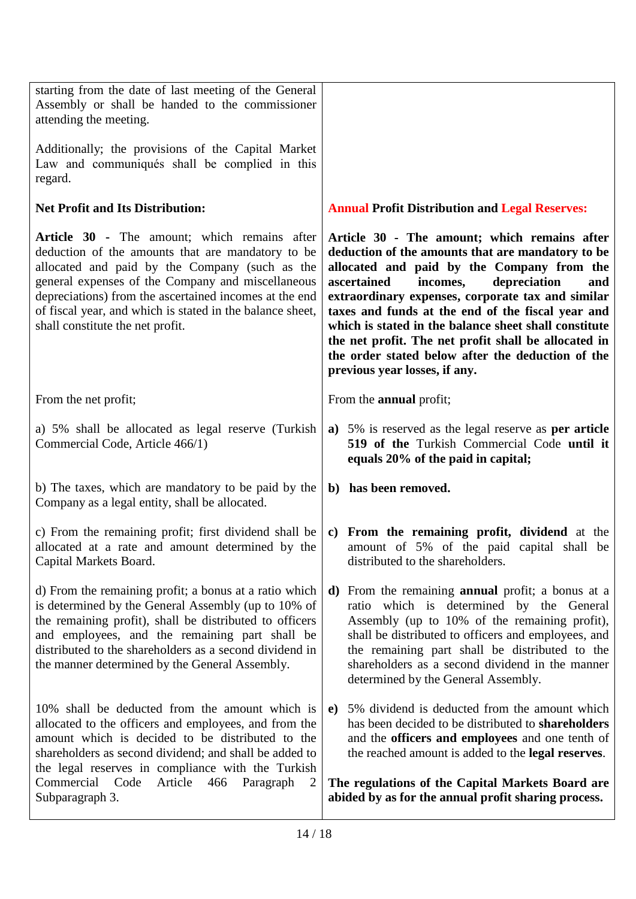| 10% shall be deducted from the amount which is<br>allocated to the officers and employees, and from the<br>amount which is decided to be distributed to the<br>shareholders as second dividend; and shall be added to<br>the legal reserves in compliance with the Turkish<br>Commercial Code<br>Article<br>466<br>Paragraph<br>2<br>Subparagraph 3.                | 5% dividend is deducted from the amount which<br>e)<br>has been decided to be distributed to shareholders<br>and the officers and employees and one tenth of<br>the reached amount is added to the <b>legal reserves</b> .<br>The regulations of the Capital Markets Board are<br>abided by as for the annual profit sharing process.                                                                                                                                                                              |
|---------------------------------------------------------------------------------------------------------------------------------------------------------------------------------------------------------------------------------------------------------------------------------------------------------------------------------------------------------------------|--------------------------------------------------------------------------------------------------------------------------------------------------------------------------------------------------------------------------------------------------------------------------------------------------------------------------------------------------------------------------------------------------------------------------------------------------------------------------------------------------------------------|
| d) From the remaining profit; a bonus at a ratio which<br>is determined by the General Assembly (up to 10% of<br>the remaining profit), shall be distributed to officers<br>and employees, and the remaining part shall be<br>distributed to the shareholders as a second dividend in<br>the manner determined by the General Assembly.                             | From the remaining <b>annual</b> profit; a bonus at a<br>d)<br>ratio which is determined by the General<br>Assembly (up to 10% of the remaining profit),<br>shall be distributed to officers and employees, and<br>the remaining part shall be distributed to the<br>shareholders as a second dividend in the manner<br>determined by the General Assembly.                                                                                                                                                        |
| c) From the remaining profit; first dividend shall be<br>allocated at a rate and amount determined by the<br>Capital Markets Board.                                                                                                                                                                                                                                 | From the remaining profit, dividend at the<br>$\mathbf{c}$<br>amount of 5% of the paid capital shall be<br>distributed to the shareholders.                                                                                                                                                                                                                                                                                                                                                                        |
| b) The taxes, which are mandatory to be paid by the<br>Company as a legal entity, shall be allocated.                                                                                                                                                                                                                                                               | b) has been removed.                                                                                                                                                                                                                                                                                                                                                                                                                                                                                               |
| a) 5% shall be allocated as legal reserve (Turkish<br>Commercial Code, Article 466/1)                                                                                                                                                                                                                                                                               | a) 5% is reserved as the legal reserve as <b>per article</b><br>519 of the Turkish Commercial Code until it<br>equals 20% of the paid in capital;                                                                                                                                                                                                                                                                                                                                                                  |
| From the net profit;                                                                                                                                                                                                                                                                                                                                                | From the <b>annual</b> profit;                                                                                                                                                                                                                                                                                                                                                                                                                                                                                     |
| Article 30 - The amount; which remains after<br>deduction of the amounts that are mandatory to be<br>allocated and paid by the Company (such as the<br>general expenses of the Company and miscellaneous<br>depreciations) from the ascertained incomes at the end<br>of fiscal year, and which is stated in the balance sheet,<br>shall constitute the net profit. | Article 30 - The amount; which remains after<br>deduction of the amounts that are mandatory to be<br>allocated and paid by the Company from the<br>depreciation<br>incomes,<br>ascertained<br>and<br>extraordinary expenses, corporate tax and similar<br>taxes and funds at the end of the fiscal year and<br>which is stated in the balance sheet shall constitute<br>the net profit. The net profit shall be allocated in<br>the order stated below after the deduction of the<br>previous year losses, if any. |
| Law and communiqués shall be complied in this<br>regard.<br><b>Net Profit and Its Distribution:</b>                                                                                                                                                                                                                                                                 | <b>Annual Profit Distribution and Legal Reserves:</b>                                                                                                                                                                                                                                                                                                                                                                                                                                                              |
| attending the meeting.<br>Additionally; the provisions of the Capital Market                                                                                                                                                                                                                                                                                        |                                                                                                                                                                                                                                                                                                                                                                                                                                                                                                                    |
| starting from the date of last meeting of the General<br>Assembly or shall be handed to the commissioner                                                                                                                                                                                                                                                            |                                                                                                                                                                                                                                                                                                                                                                                                                                                                                                                    |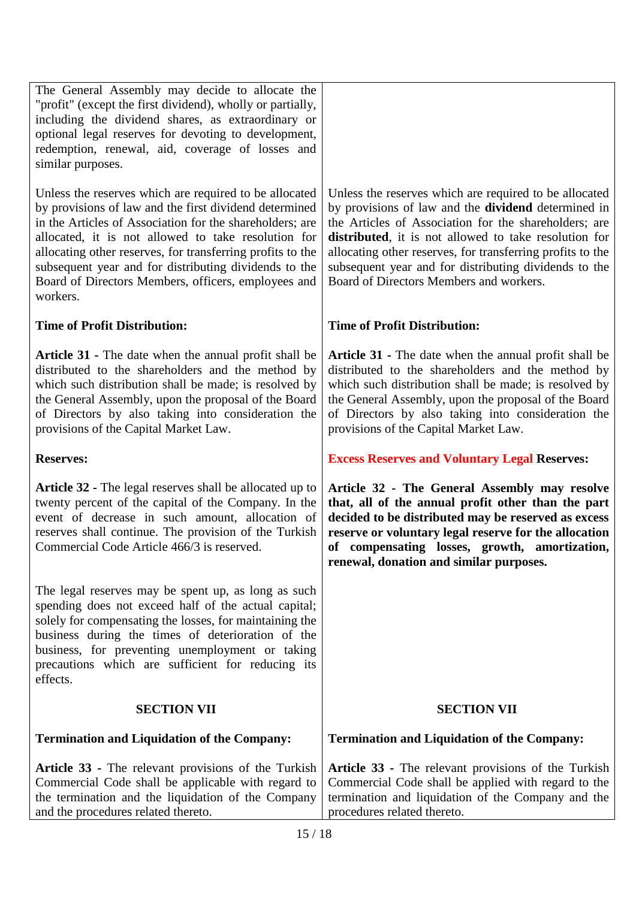The General Assembly may decide to allocate the "profit" (except the first dividend), wholly or partially, including the dividend shares, as extraordinary or optional legal reserves for devoting to development, redemption, renewal, aid, coverage of losses and similar purposes.

Unless the reserves which are required to be allocated by provisions of law and the first dividend determined in the Articles of Association for the shareholders; are allocated, it is not allowed to take resolution for allocating other reserves, for transferring profits to the subsequent year and for distributing dividends to the Board of Directors Members, officers, employees and workers.

# **Time of Profit Distribution:**

**Article 31 -** The date when the annual profit shall be distributed to the shareholders and the method by which such distribution shall be made; is resolved by the General Assembly, upon the proposal of the Board of Directors by also taking into consideration the provisions of the Capital Market Law.

**Reserves:**

**Article 32 -** The legal reserves shall be allocated up to twenty percent of the capital of the Company. In the event of decrease in such amount, allocation of reserves shall continue. The provision of the Turkish Commercial Code Article 466/3 is reserved.

The legal reserves may be spent up, as long as such spending does not exceed half of the actual capital; solely for compensating the losses, for maintaining the business during the times of deterioration of the business, for preventing unemployment or taking precautions which are sufficient for reducing its effects.

# **SECTION VII**

# **Termination and Liquidation of the Company:**

**Article 33 -** The relevant provisions of the Turkish Commercial Code shall be applicable with regard to the termination and the liquidation of the Company and the procedures related thereto.

Unless the reserves which are required to be allocated by provisions of law and the **dividend** determined in the Articles of Association for the shareholders; are **distributed**, it is not allowed to take resolution for allocating other reserves, for transferring profits to the subsequent year and for distributing dividends to the Board of Directors Members and workers.

# **Time of Profit Distribution:**

**Article 31 -** The date when the annual profit shall be distributed to the shareholders and the method by which such distribution shall be made; is resolved by the General Assembly, upon the proposal of the Board of Directors by also taking into consideration the provisions of the Capital Market Law.

**Excess Reserves and Voluntary Legal Reserves:**

**Article 32 - The General Assembly may resolve that, all of the annual profit other than the part decided to be distributed may be reserved as excess reserve or voluntary legal reserve for the allocation of compensating losses, growth, amortization, renewal, donation and similar purposes.** 

## **SECTION VII**

## **Termination and Liquidation of the Company:**

**Article 33 -** The relevant provisions of the Turkish Commercial Code shall be applied with regard to the termination and liquidation of the Company and the procedures related thereto.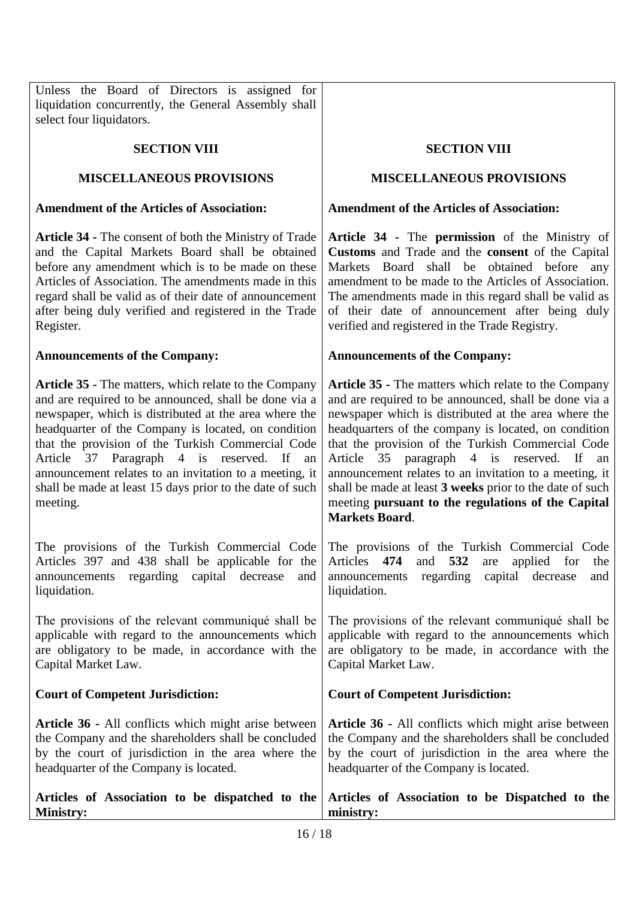Unless the Board of Directors is assigned for liquidation concurrently, the General Assembly shall select four liquidators.

## **SECTION VIII**

# **MISCELLANEOUS PROVISIONS**

## **Amendment of the Articles of Association:**

**Article 34 -** The consent of both the Ministry of Trade and the Capital Markets Board shall be obtained before any amendment which is to be made on these Articles of Association. The amendments made in this regard shall be valid as of their date of announcement after being duly verified and registered in the Trade Register.

## **Announcements of the Company:**

**Article 35 -** The matters, which relate to the Company and are required to be announced, shall be done via a newspaper, which is distributed at the area where the headquarter of the Company is located, on condition that the provision of the Turkish Commercial Code Article 37 Paragraph 4 is reserved. If an announcement relates to an invitation to a meeting, it shall be made at least 15 days prior to the date of such meeting.

The provisions of the Turkish Commercial Code Articles 397 and 438 shall be applicable for the announcements regarding capital decrease and liquidation.

The provisions of the relevant communiqué shall be applicable with regard to the announcements which are obligatory to be made, in accordance with the Capital Market Law.

# **Court of Competent Jurisdiction:**

**Article 36 -** All conflicts which might arise between the Company and the shareholders shall be concluded by the court of jurisdiction in the area where the headquarter of the Company is located.

#### **SECTION VIII**

## **MISCELLANEOUS PROVISIONS**

## **Amendment of the Articles of Association:**

**Article 34 -** The **permission** of the Ministry of **Customs** and Trade and the **consent** of the Capital Markets Board shall be obtained before any amendment to be made to the Articles of Association. The amendments made in this regard shall be valid as of their date of announcement after being duly verified and registered in the Trade Registry.

## **Announcements of the Company:**

**Article 35 -** The matters which relate to the Company and are required to be announced, shall be done via a newspaper which is distributed at the area where the headquarters of the company is located, on condition that the provision of the Turkish Commercial Code Article 35 paragraph 4 is reserved. If an announcement relates to an invitation to a meeting, it shall be made at least **3 weeks** prior to the date of such meeting **pursuant to the regulations of the Capital Markets Board**.

The provisions of the Turkish Commercial Code Articles **474** and **532** are applied for the announcements regarding capital decrease and liquidation.

The provisions of the relevant communiqué shall be applicable with regard to the announcements which are obligatory to be made, in accordance with the Capital Market Law.

## **Court of Competent Jurisdiction:**

**Article 36 -** All conflicts which might arise between the Company and the shareholders shall be concluded by the court of jurisdiction in the area where the headquarter of the Company is located.

#### **Articles of Association to be dispatched to the Ministry: Articles of Association to be Dispatched to the ministry:**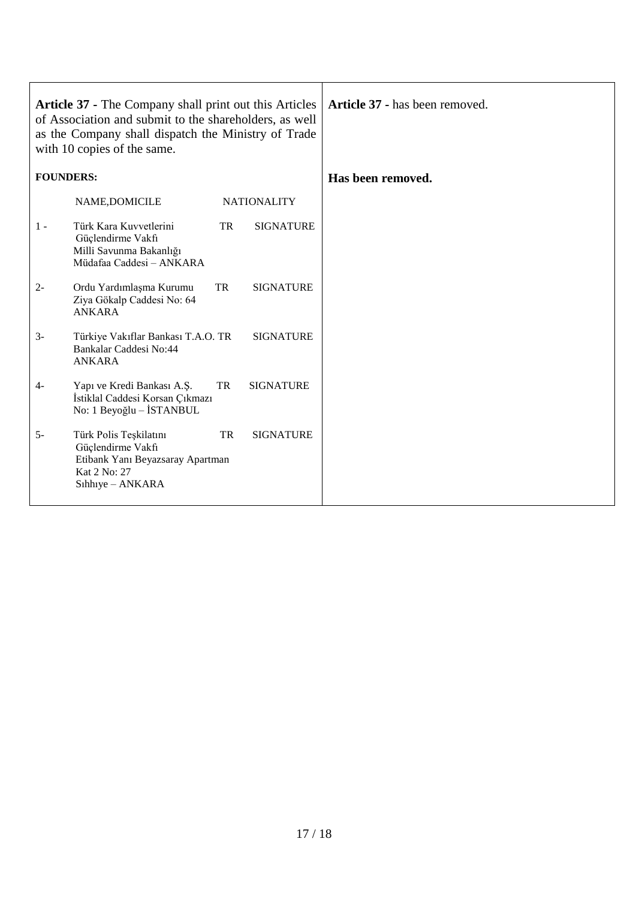| Article 37 - The Company shall print out this Articles<br>of Association and submit to the shareholders, as well<br>as the Company shall dispatch the Ministry of Trade<br>with 10 copies of the same. |                                                                                                                     |    | Article 37 - has been removed. |                   |
|--------------------------------------------------------------------------------------------------------------------------------------------------------------------------------------------------------|---------------------------------------------------------------------------------------------------------------------|----|--------------------------------|-------------------|
| <b>FOUNDERS:</b>                                                                                                                                                                                       |                                                                                                                     |    |                                | Has been removed. |
|                                                                                                                                                                                                        | NAME, DOMICILE                                                                                                      |    | <b>NATIONALITY</b>             |                   |
| $1 -$                                                                                                                                                                                                  | Türk Kara Kuvvetlerini<br>Güçlendirme Vakfı<br>Milli Savunma Bakanlığı<br>Müdafaa Caddesi - ANKARA                  | TR | <b>SIGNATURE</b>               |                   |
| $2 -$                                                                                                                                                                                                  | Ordu Yardımlaşma Kurumu<br>Ziya Gökalp Caddesi No: 64<br><b>ANKARA</b>                                              | TR | <b>SIGNATURE</b>               |                   |
| $3-$                                                                                                                                                                                                   | Türkiye Vakıflar Bankası T.A.O. TR<br>Bankalar Caddesi No:44<br><b>ANKARA</b>                                       |    | <b>SIGNATURE</b>               |                   |
| 4-                                                                                                                                                                                                     | Yapı ve Kredi Bankası A.Ş.<br>İstiklal Caddesi Korsan Çıkmazı<br>No: 1 Beyoğlu - İSTANBUL                           | TR | <b>SIGNATURE</b>               |                   |
| $5-$                                                                                                                                                                                                   | Türk Polis Teşkilatını<br>Güçlendirme Vakfı<br>Etibank Yanı Beyazsaray Apartman<br>Kat 2 No: 27<br>Sıhhıye - ANKARA | TR | <b>SIGNATURE</b>               |                   |